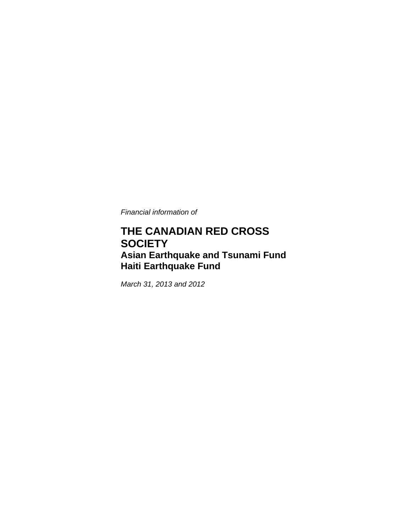*Financial information of* 

## **THE CANADIAN RED CROSS SOCIETY Asian Earthquake and Tsunami Fund Haiti Earthquake Fund**

*March 31, 2013 and 2012*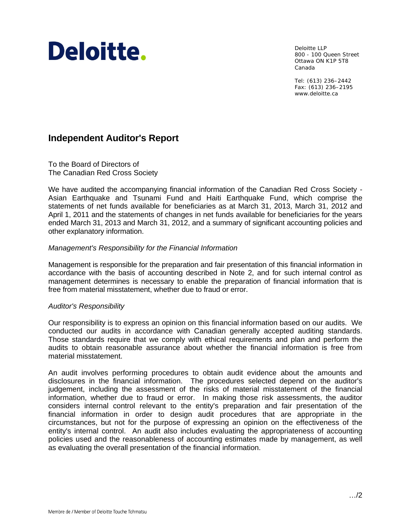# Deloitte.

Deloitte LLP 800 - 100 Queen Street Ottawa ON K1P 5T8 Canada

Tel: (613) 236–2442 Fax: (613) 236–2195 www.deloitte.ca

## **Independent Auditor's Report**

To the Board of Directors of The Canadian Red Cross Society

We have audited the accompanying financial information of the Canadian Red Cross Society - Asian Earthquake and Tsunami Fund and Haiti Earthquake Fund, which comprise the statements of net funds available for beneficiaries as at March 31, 2013, March 31, 2012 and April 1, 2011 and the statements of changes in net funds available for beneficiaries for the years ended March 31, 2013 and March 31, 2012, and a summary of significant accounting policies and other explanatory information.

#### *Management's Responsibility for the Financial Information*

Management is responsible for the preparation and fair presentation of this financial information in accordance with the basis of accounting described in Note 2, and for such internal control as management determines is necessary to enable the preparation of financial information that is free from material misstatement, whether due to fraud or error.

#### *Auditor's Responsibility*

Our responsibility is to express an opinion on this financial information based on our audits. We conducted our audits in accordance with Canadian generally accepted auditing standards. Those standards require that we comply with ethical requirements and plan and perform the audits to obtain reasonable assurance about whether the financial information is free from material misstatement.

An audit involves performing procedures to obtain audit evidence about the amounts and disclosures in the financial information. The procedures selected depend on the auditor's judgement, including the assessment of the risks of material misstatement of the financial information, whether due to fraud or error. In making those risk assessments, the auditor considers internal control relevant to the entity's preparation and fair presentation of the financial information in order to design audit procedures that are appropriate in the circumstances, but not for the purpose of expressing an opinion on the effectiveness of the entity's internal control. An audit also includes evaluating the appropriateness of accounting policies used and the reasonableness of accounting estimates made by management, as well as evaluating the overall presentation of the financial information.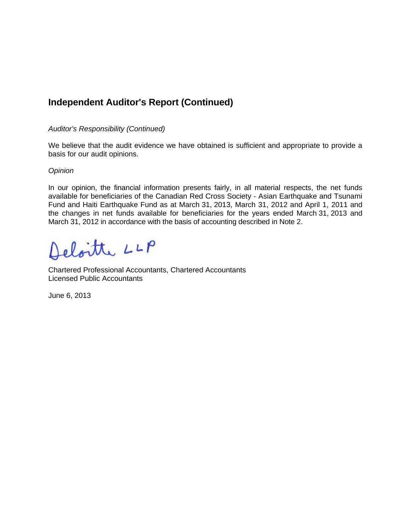## **Independent Auditor's Report (Continued)**

#### *Auditor's Responsibility (Continued)*

We believe that the audit evidence we have obtained is sufficient and appropriate to provide a basis for our audit opinions.

#### *Opinion*

In our opinion, the financial information presents fairly, in all material respects, the net funds available for beneficiaries of the Canadian Red Cross Society - Asian Earthquake and Tsunami Fund and Haiti Earthquake Fund as at March 31, 2013, March 31, 2012 and April 1, 2011 and the changes in net funds available for beneficiaries for the years ended March 31, 2013 and March 31, 2012 in accordance with the basis of accounting described in Note 2.

Deloitte LLP

Chartered Professional Accountants, Chartered Accountants Licensed Public Accountants

June 6, 2013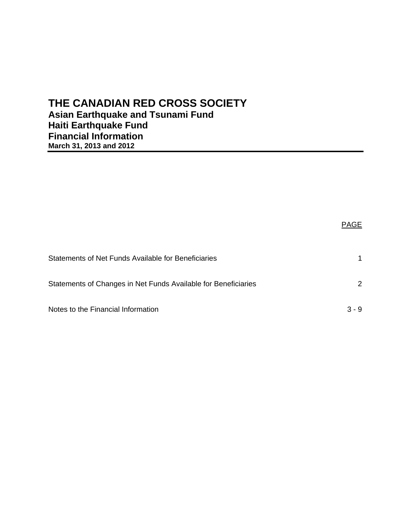## **THE CANADIAN RED CROSS SOCIETY Asian Earthquake and Tsunami Fund Haiti Earthquake Fund Financial Information March 31, 2013 and 2012**

|                                                                | <b>PAGE</b> |
|----------------------------------------------------------------|-------------|
| Statements of Net Funds Available for Beneficiaries            |             |
| Statements of Changes in Net Funds Available for Beneficiaries | 2           |
| Notes to the Financial Information                             | $3 - 9$     |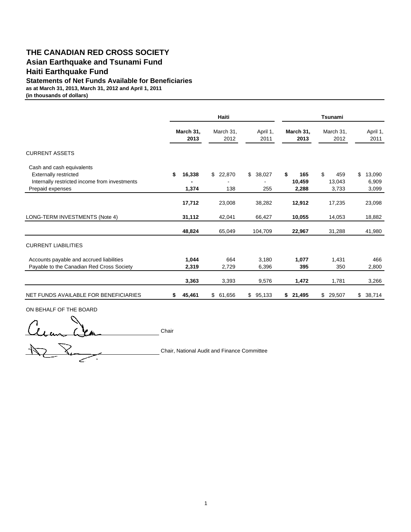#### **THE CANADIAN RED CROSS SOCIETY Asian Earthquake and Tsunami Fund Haiti Earthquake Fund**

**Statements of Net Funds Available for Beneficiaries**

**as at March 31, 2013, March 31, 2012 and April 1, 2011**

**(in thousands of dollars)**

|                                                                                                                                |    |                   | Haiti               |                     |                              | Tsunami                      |                                |  |  |
|--------------------------------------------------------------------------------------------------------------------------------|----|-------------------|---------------------|---------------------|------------------------------|------------------------------|--------------------------------|--|--|
|                                                                                                                                |    | March 31,<br>2013 | March 31,<br>2012   | April 1,<br>2011    | March 31,<br>2013            | March 31,<br>2012            | April 1,<br>2011               |  |  |
| <b>CURRENT ASSETS</b>                                                                                                          |    |                   |                     |                     |                              |                              |                                |  |  |
| Cash and cash equivalents<br><b>Externally restricted</b><br>Internally restricted income from investments<br>Prepaid expenses | \$ | 16,338<br>1,374   | \$<br>22,870<br>138 | \$<br>38,027<br>255 | \$<br>165<br>10,459<br>2,288 | \$<br>459<br>13,043<br>3,733 | \$<br>13,090<br>6,909<br>3,099 |  |  |
|                                                                                                                                |    | 17,712            | 23,008              | 38,282              | 12,912                       | 17,235                       | 23,098                         |  |  |
| LONG-TERM INVESTMENTS (Note 4)                                                                                                 |    | 31,112            | 42,041              | 66,427              | 10,055                       | 14,053                       | 18,882                         |  |  |
|                                                                                                                                |    | 48,824            | 65,049              | 104,709             | 22,967                       | 31,288                       | 41,980                         |  |  |
| <b>CURRENT LIABILITIES</b>                                                                                                     |    |                   |                     |                     |                              |                              |                                |  |  |
| Accounts payable and accrued liabilities<br>Payable to the Canadian Red Cross Society                                          |    | 1,044<br>2,319    | 664<br>2,729        | 3,180<br>6,396      | 1.077<br>395                 | 1,431<br>350                 | 466<br>2,800                   |  |  |
|                                                                                                                                |    | 3,363             | 3,393               | 9,576               | 1,472                        | 1,781                        | 3,266                          |  |  |
| NET FUNDS AVAILABLE FOR BENEFICIARIES                                                                                          | S. | 45,461            | 61,656<br>\$        | \$95,133            | \$21,495                     | \$29,507                     | \$38,714                       |  |  |

ON BEHALF OF THE BOARD

Cecan Lea Chair  $RR$ 

Chair, National Audit and Finance Committee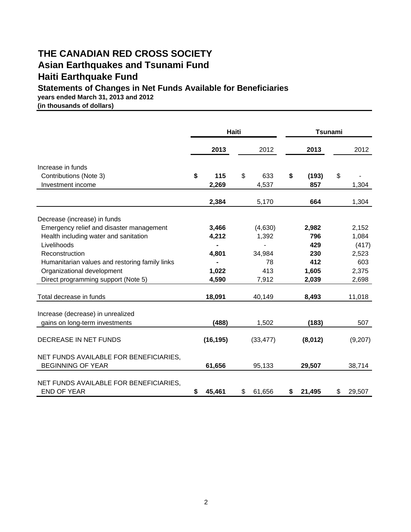## **THE CANADIAN RED CROSS SOCIETY Asian Earthquakes and Tsunami Fund Haiti Earthquake Fund**

### **Statements of Changes in Net Funds Available for Beneficiaries**

**years ended March 31, 2013 and 2012**

**(in thousands of dollars)**

|                                                                    | <b>Haiti</b> |           |              | <b>Tsunami</b> |    |         |  |
|--------------------------------------------------------------------|--------------|-----------|--------------|----------------|----|---------|--|
|                                                                    |              | 2013      | 2012         | 2013           |    | 2012    |  |
| Increase in funds                                                  |              |           |              |                |    |         |  |
| Contributions (Note 3)                                             | \$           | 115       | \$<br>633    | \$<br>(193)    | \$ |         |  |
| Investment income                                                  |              | 2,269     | 4,537        | 857            |    | 1,304   |  |
|                                                                    |              | 2,384     | 5,170        | 664            |    | 1,304   |  |
| Decrease (increase) in funds                                       |              |           |              |                |    |         |  |
| Emergency relief and disaster management                           |              | 3,466     | (4,630)      | 2,982          |    | 2,152   |  |
| Health including water and sanitation                              |              | 4,212     | 1,392        | 796            |    | 1,084   |  |
| Livelihoods                                                        |              |           |              | 429            |    | (417)   |  |
| Reconstruction                                                     |              | 4,801     | 34,984       | 230            |    | 2,523   |  |
| Humanitarian values and restoring family links                     |              |           | 78           | 412            |    | 603     |  |
| Organizational development                                         |              | 1,022     | 413          | 1,605          |    | 2,375   |  |
| Direct programming support (Note 5)                                |              | 4,590     | 7,912        | 2,039          |    | 2,698   |  |
| Total decrease in funds                                            |              | 18,091    | 40,149       | 8,493          |    | 11,018  |  |
| Increase (decrease) in unrealized                                  |              |           |              |                |    |         |  |
| gains on long-term investments                                     |              | (488)     | 1,502        | (183)          |    | 507     |  |
| DECREASE IN NET FUNDS                                              |              | (16, 195) | (33, 477)    | (8,012)        |    | (9,207) |  |
| NET FUNDS AVAILABLE FOR BENEFICIARIES,<br><b>BEGINNING OF YEAR</b> |              | 61,656    | 95,133       | 29,507         |    | 38,714  |  |
| NET FUNDS AVAILABLE FOR BENEFICIARIES.<br><b>END OF YEAR</b>       | \$           | 45,461    | \$<br>61,656 | \$<br>21,495   | \$ | 29,507  |  |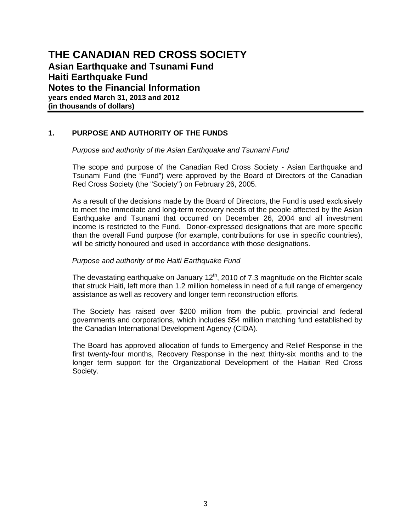#### **1. PURPOSE AND AUTHORITY OF THE FUNDS**

#### *Purpose and authority of the Asian Earthquake and Tsunami Fund*

 The scope and purpose of the Canadian Red Cross Society - Asian Earthquake and Tsunami Fund (the "Fund") were approved by the Board of Directors of the Canadian Red Cross Society (the "Society") on February 26, 2005.

 As a result of the decisions made by the Board of Directors, the Fund is used exclusively to meet the immediate and long-term recovery needs of the people affected by the Asian Earthquake and Tsunami that occurred on December 26, 2004 and all investment income is restricted to the Fund. Donor-expressed designations that are more specific than the overall Fund purpose (for example, contributions for use in specific countries), will be strictly honoured and used in accordance with those designations.

#### *Purpose and authority of the Haiti Earthquake Fund*

The devastating earthquake on January  $12<sup>th</sup>$ , 2010 of 7.3 magnitude on the Richter scale that struck Haiti, left more than 1.2 million homeless in need of a full range of emergency assistance as well as recovery and longer term reconstruction efforts.

The Society has raised over \$200 million from the public, provincial and federal governments and corporations, which includes \$54 million matching fund established by the Canadian International Development Agency (CIDA).

The Board has approved allocation of funds to Emergency and Relief Response in the first twenty-four months, Recovery Response in the next thirty-six months and to the longer term support for the Organizational Development of the Haitian Red Cross Society.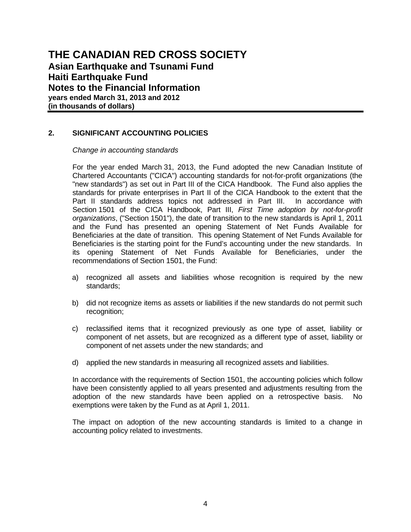#### **2. SIGNIFICANT ACCOUNTING POLICIES**

 *Change in accounting standards* 

 For the year ended March 31, 2013, the Fund adopted the new Canadian Institute of Chartered Accountants ("CICA") accounting standards for not-for-profit organizations (the "new standards") as set out in Part III of the CICA Handbook. The Fund also applies the standards for private enterprises in Part II of the CICA Handbook to the extent that the Part II standards address topics not addressed in Part III. In accordance with Section 1501 of the CICA Handbook, Part III, *First Time adoption by not-for-profit organizations*, ("Section 1501"), the date of transition to the new standards is April 1, 2011 and the Fund has presented an opening Statement of Net Funds Available for Beneficiaries at the date of transition. This opening Statement of Net Funds Available for Beneficiaries is the starting point for the Fund's accounting under the new standards. In its opening Statement of Net Funds Available for Beneficiaries, under the recommendations of Section 1501, the Fund:

- a) recognized all assets and liabilities whose recognition is required by the new standards;
- b) did not recognize items as assets or liabilities if the new standards do not permit such recognition;
- c) reclassified items that it recognized previously as one type of asset, liability or component of net assets, but are recognized as a different type of asset, liability or component of net assets under the new standards; and
- d) applied the new standards in measuring all recognized assets and liabilities.

 In accordance with the requirements of Section 1501, the accounting policies which follow have been consistently applied to all years presented and adjustments resulting from the adoption of the new standards have been applied on a retrospective basis. No exemptions were taken by the Fund as at April 1, 2011.

 The impact on adoption of the new accounting standards is limited to a change in accounting policy related to investments.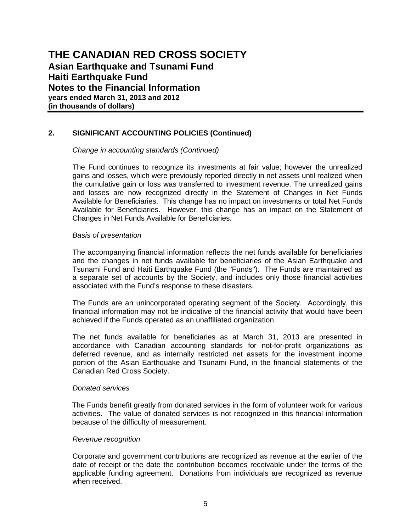#### **2. SIGNIFICANT ACCOUNTING POLICIES (Continued)**

 *Change in accounting standards (Continued)* 

 The Fund continues to recognize its investments at fair value; however the unrealized gains and losses, which were previously reported directly in net assets until realized when the cumulative gain or loss was transferred to investment revenue. The unrealized gains and losses are now recognized directly in the Statement of Changes in Net Funds Available for Beneficiaries. This change has no impact on investments or total Net Funds Available for Beneficiaries. However, this change has an impact on the Statement of Changes in Net Funds Available for Beneficiaries.

#### *Basis of presentation*

The accompanying financial information reflects the net funds available for beneficiaries and the changes in net funds available for beneficiaries of the Asian Earthquake and Tsunami Fund and Haiti Earthquake Fund (the "Funds"). The Funds are maintained as a separate set of accounts by the Society, and includes only those financial activities associated with the Fund's response to these disasters.

The Funds are an unincorporated operating segment of the Society. Accordingly, this financial information may not be indicative of the financial activity that would have been achieved if the Funds operated as an unaffiliated organization.

The net funds available for beneficiaries as at March 31, 2013 are presented in accordance with Canadian accounting standards for not-for-profit organizations as deferred revenue, and as internally restricted net assets for the investment income portion of the Asian Earthquake and Tsunami Fund, in the financial statements of the Canadian Red Cross Society.

#### *Donated services*

The Funds benefit greatly from donated services in the form of volunteer work for various activities. The value of donated services is not recognized in this financial information because of the difficulty of measurement.

#### *Revenue recognition*

Corporate and government contributions are recognized as revenue at the earlier of the date of receipt or the date the contribution becomes receivable under the terms of the applicable funding agreement. Donations from individuals are recognized as revenue when received.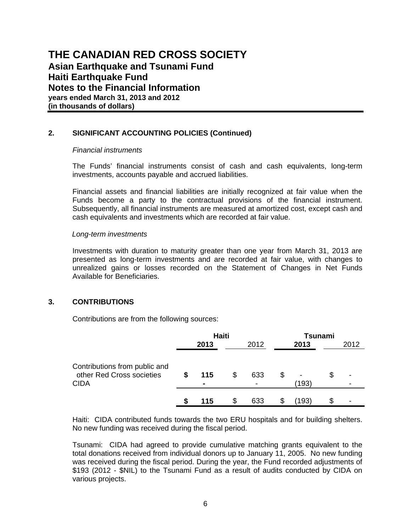#### **2. SIGNIFICANT ACCOUNTING POLICIES (Continued)**

#### *Financial instruments*

The Funds' financial instruments consist of cash and cash equivalents, long-term investments, accounts payable and accrued liabilities.

Financial assets and financial liabilities are initially recognized at fair value when the Funds become a party to the contractual provisions of the financial instrument. Subsequently, all financial instruments are measured at amortized cost, except cash and cash equivalents and investments which are recorded at fair value.

#### *Long-term investments*

Investments with duration to maturity greater than one year from March 31, 2013 are presented as long-term investments and are recorded at fair value, with changes to unrealized gains or losses recorded on the Statement of Changes in Net Funds Available for Beneficiaries.

#### **3. CONTRIBUTIONS**

Contributions are from the following sources:

|                                                                           | <b>Haiti</b> |          |     |      | Tsunami    |   |        |  |
|---------------------------------------------------------------------------|--------------|----------|-----|------|------------|---|--------|--|
|                                                                           |              | 2013     |     | 2012 | 2013       |   | 2012   |  |
| Contributions from public and<br>other Red Cross societies<br><b>CIDA</b> | \$           | 115<br>۰ | \$  | 633  | -<br>(193) | S | -<br>- |  |
|                                                                           |              | 115      | \$. | 633  | (193)      |   |        |  |

Haiti: CIDA contributed funds towards the two ERU hospitals and for building shelters. No new funding was received during the fiscal period.

Tsunami: CIDA had agreed to provide cumulative matching grants equivalent to the total donations received from individual donors up to January 11, 2005. No new funding was received during the fiscal period. During the year, the Fund recorded adjustments of \$193 (2012 - \$NIL) to the Tsunami Fund as a result of audits conducted by CIDA on various projects.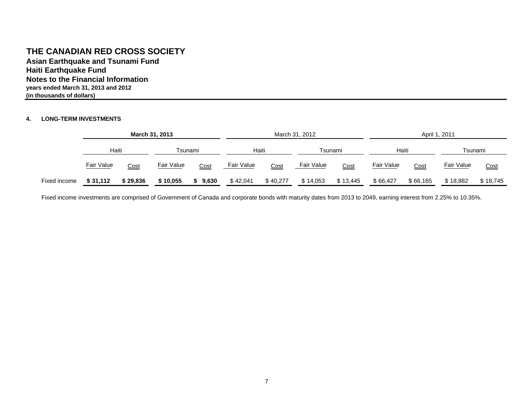#### **THE CANADIAN RED CROSS SOCIETY**

**Notes to the Financial Informationyears ended March 31, 2013 and 2012 Asian Earthquake and Tsunami Fund Haiti Earthquake Fund (in thousands of dollars)**

#### **4. LONG-TERM INVESTMENTS**

|              | March 31, 2013 |          |            |       |            |          | March 31, 2012    |             | April 1, 2011 |          |            |             |  |
|--------------|----------------|----------|------------|-------|------------|----------|-------------------|-------------|---------------|----------|------------|-------------|--|
|              | Haiti          |          | Tsunami    |       | Haiti      |          | Tsunami           |             | Haiti         |          | Tsunami    |             |  |
|              | Fair Value     | Cost     | Fair Value | Cost  | Fair Value | Cost     | <b>Fair Value</b> | <u>Cost</u> | Fair Value    | Cost     | Fair Value | <u>Cost</u> |  |
| Fixed income | \$31,112       | \$29,836 | \$10,055   | 9,630 | \$42,041   | \$40,277 | \$14,053          | \$13,445    | \$66,427      | \$66,165 | \$18,882   | \$18,745    |  |

Fixed income investments are comprised of Government of Canada and corporate bonds with maturity dates from 2013 to 2049, earning interest from 2.25% to 10.35%.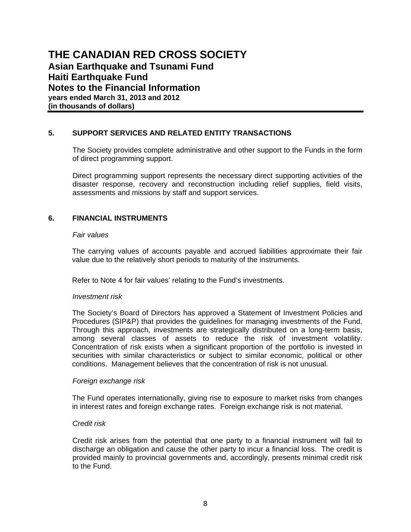#### **5. SUPPORT SERVICES AND RELATED ENTITY TRANSACTIONS**

The Society provides complete administrative and other support to the Funds in the form of direct programming support.

Direct programming support represents the necessary direct supporting activities of the disaster response, recovery and reconstruction including relief supplies, field visits, assessments and missions by staff and support services.

#### **6. FINANCIAL INSTRUMENTS**

#### *Fair values*

The carrying values of accounts payable and accrued liabilities approximate their fair value due to the relatively short periods to maturity of the instruments.

Refer to Note 4 for fair values' relating to the Fund's investments.

#### *Investment risk*

The Society's Board of Directors has approved a Statement of Investment Policies and Procedures (SIP&P) that provides the guidelines for managing investments of the Fund. Through this approach, investments are strategically distributed on a long-term basis, among several classes of assets to reduce the risk of investment volatility. Concentration of risk exists when a significant proportion of the portfolio is invested in securities with similar characteristics or subject to similar economic, political or other conditions. Management believes that the concentration of risk is not unusual.

#### *Foreign exchange risk*

The Fund operates internationally, giving rise to exposure to market risks from changes in interest rates and foreign exchange rates. Foreign exchange risk is not material.

#### *Credit risk*

Credit risk arises from the potential that one party to a financial instrument will fail to discharge an obligation and cause the other party to incur a financial loss. The credit is provided mainly to provincial governments and, accordingly, presents minimal credit risk to the Fund.